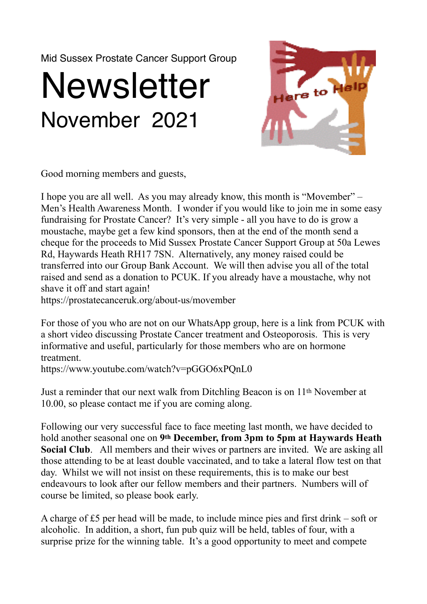Mid Sussex Prostate Cancer Support Group

## **Newsletter** November 2021



Good morning members and guests,

I hope you are all well. As you may already know, this month is "Movember" – Men's Health Awareness Month. I wonder if you would like to join me in some easy fundraising for Prostate Cancer? It's very simple - all you have to do is grow a moustache, maybe get a few kind sponsors, then at the end of the month send a cheque for the proceeds to Mid Sussex Prostate Cancer Support Group at 50a Lewes Rd, Haywards Heath RH17 7SN. Alternatively, any money raised could be transferred into our Group Bank Account. We will then advise you all of the total raised and send as a donation to PCUK. If you already have a moustache, why not shave it off and start again!

https://prostatecanceruk.org/about-us/movember

For those of you who are not on our WhatsApp group, here is a link from PCUK with a short video discussing Prostate Cancer treatment and Osteoporosis. This is very informative and useful, particularly for those members who are on hormone treatment.

https://www.youtube.com/watch?v=pGGO6xPQnL0

Just a reminder that our next walk from Ditchling Beacon is on 11th November at 10.00, so please contact me if you are coming along.

Following our very successful face to face meeting last month, we have decided to hold another seasonal one on **9th December, from 3pm to 5pm at Haywards Heath Social Club**. All members and their wives or partners are invited. We are asking all those attending to be at least double vaccinated, and to take a lateral flow test on that day. Whilst we will not insist on these requirements, this is to make our best endeavours to look after our fellow members and their partners. Numbers will of course be limited, so please book early.

A charge of £5 per head will be made, to include mince pies and first drink – soft or alcoholic. In addition, a short, fun pub quiz will be held, tables of four, with a surprise prize for the winning table. It's a good opportunity to meet and compete